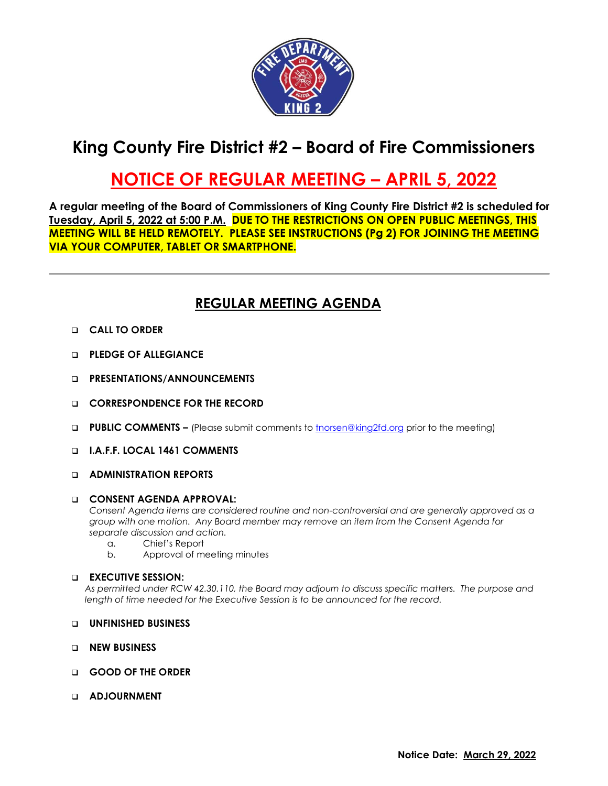

# **King County Fire District #2 – Board of Fire Commissioners**

## **NOTICE OF REGULAR MEETING – APRIL 5, 2022**

**A regular meeting of the Board of Commissioners of King County Fire District #2 is scheduled for Tuesday, April 5, 2022 at 5:00 P.M. DUE TO THE RESTRICTIONS ON OPEN PUBLIC MEETINGS, THIS MEETING WILL BE HELD REMOTELY. PLEASE SEE INSTRUCTIONS (Pg 2) FOR JOINING THE MEETING VIA YOUR COMPUTER, TABLET OR SMARTPHONE.**

### **REGULAR MEETING AGENDA**

- ❑ **CALL TO ORDER**
- ❑ **PLEDGE OF ALLEGIANCE**
- ❑ **PRESENTATIONS/ANNOUNCEMENTS**
- ❑ **CORRESPONDENCE FOR THE RECORD**
- ❑ **PUBLIC COMMENTS –** (Please submit comments to [tnorsen@king2fd.org](mailto:tnorsen@king2fd.org) prior to the meeting)
- ❑ **I.A.F.F. LOCAL 1461 COMMENTS**
- ❑ **ADMINISTRATION REPORTS**

#### ❑ **CONSENT AGENDA APPROVAL:**

*Consent Agenda items are considered routine and non-controversial and are generally approved as a group with one motion. Any Board member may remove an item from the Consent Agenda for separate discussion and action.*

- a. Chief's Report
- b. Approval of meeting minutes

#### ❑ **EXECUTIVE SESSION:**

*As permitted under RCW 42.30.110, the Board may adjourn to discuss specific matters. The purpose and length of time needed for the Executive Session is to be announced for the record.*

- ❑ **UNFINISHED BUSINESS**
- ❑ **NEW BUSINESS**
- ❑ **GOOD OF THE ORDER**
- ❑ **ADJOURNMENT**